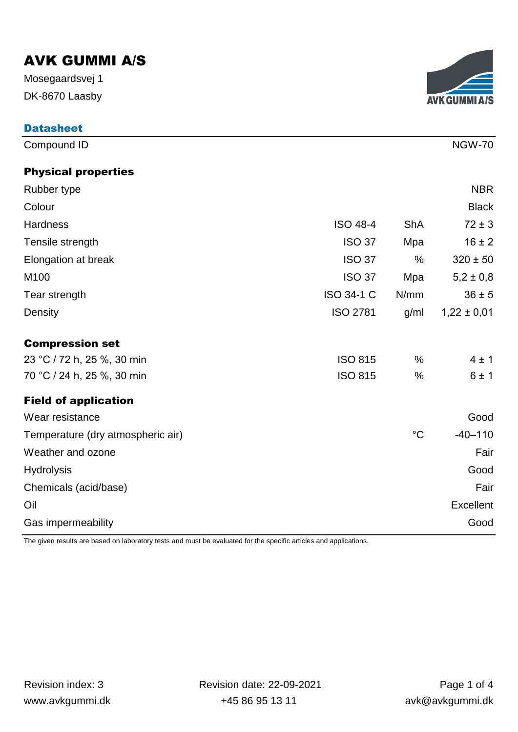DK-8670 Laasby Mosegaardsvej 1



| <b>Datasheet</b>                  |                   |                 |                 |
|-----------------------------------|-------------------|-----------------|-----------------|
| Compound ID                       |                   |                 | <b>NGW-70</b>   |
| <b>Physical properties</b>        |                   |                 |                 |
| Rubber type                       |                   |                 | <b>NBR</b>      |
| Colour                            |                   |                 | <b>Black</b>    |
| Hardness                          | <b>ISO 48-4</b>   | <b>ShA</b>      | $72 \pm 3$      |
| Tensile strength                  | <b>ISO 37</b>     | Mpa             | $16 \pm 2$      |
| Elongation at break               | <b>ISO 37</b>     | $\%$            | $320 \pm 50$    |
| M100                              | <b>ISO 37</b>     | Mpa             | $5,2 \pm 0,8$   |
| Tear strength                     | <b>ISO 34-1 C</b> | N/mm            | $36 \pm 5$      |
| Density                           | <b>ISO 2781</b>   | g/ml            | $1,22 \pm 0,01$ |
| <b>Compression set</b>            |                   |                 |                 |
| 23 °C / 72 h, 25 %, 30 min        | <b>ISO 815</b>    | %               | 4±1             |
| 70 °C / 24 h, 25 %, 30 min        | <b>ISO 815</b>    | $\%$            | 6±1             |
| <b>Field of application</b>       |                   |                 |                 |
| Wear resistance                   |                   |                 | Good            |
| Temperature (dry atmospheric air) |                   | $\rm ^{\circ}C$ | $-40 - 110$     |
| Weather and ozone                 |                   |                 | Fair            |
| <b>Hydrolysis</b>                 |                   |                 | Good            |
| Chemicals (acid/base)             |                   |                 | Fair            |
| Oil                               |                   |                 | Excellent       |
| Gas impermeability                |                   |                 | Good            |

The given results are based on laboratory tests and must be evaluated for the specific articles and applications.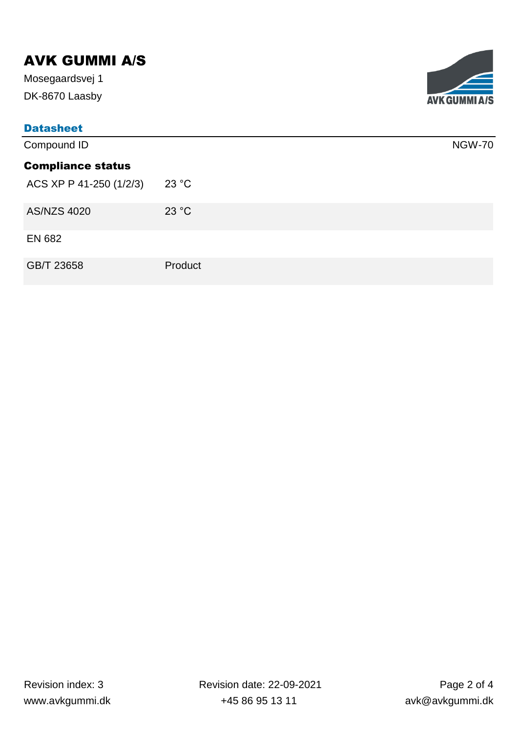DK-8670 Laasby Mosegaardsvej 1

| <b>Datasheet</b>         |         |               |  |  |
|--------------------------|---------|---------------|--|--|
| Compound ID              |         | <b>NGW-70</b> |  |  |
| <b>Compliance status</b> |         |               |  |  |
| ACS XP P 41-250 (1/2/3)  | 23 °C   |               |  |  |
| <b>AS/NZS 4020</b>       | 23 °C   |               |  |  |
| <b>EN 682</b>            |         |               |  |  |
| GB/T 23658               | Product |               |  |  |

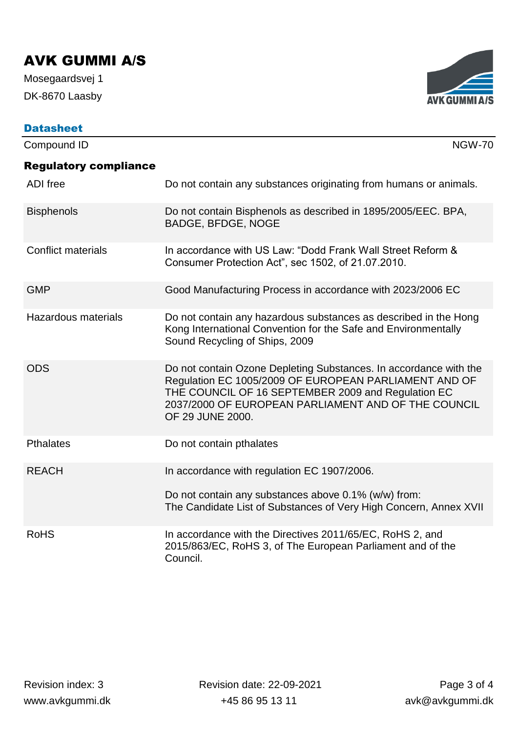DK-8670 Laasby Mosegaardsvej 1

| <b>AVK GUMMI A/S</b> |
|----------------------|

| <b>Datasheet</b>             |                                                                                                                                                                                                                                                             |
|------------------------------|-------------------------------------------------------------------------------------------------------------------------------------------------------------------------------------------------------------------------------------------------------------|
| Compound ID                  | <b>NGW-70</b>                                                                                                                                                                                                                                               |
| <b>Regulatory compliance</b> |                                                                                                                                                                                                                                                             |
| <b>ADI</b> free              | Do not contain any substances originating from humans or animals.                                                                                                                                                                                           |
| <b>Bisphenols</b>            | Do not contain Bisphenols as described in 1895/2005/EEC. BPA,<br><b>BADGE, BFDGE, NOGE</b>                                                                                                                                                                  |
| <b>Conflict materials</b>    | In accordance with US Law: "Dodd Frank Wall Street Reform &<br>Consumer Protection Act", sec 1502, of 21.07.2010.                                                                                                                                           |
| <b>GMP</b>                   | Good Manufacturing Process in accordance with 2023/2006 EC                                                                                                                                                                                                  |
| <b>Hazardous materials</b>   | Do not contain any hazardous substances as described in the Hong<br>Kong International Convention for the Safe and Environmentally<br>Sound Recycling of Ships, 2009                                                                                        |
| <b>ODS</b>                   | Do not contain Ozone Depleting Substances. In accordance with the<br>Regulation EC 1005/2009 OF EUROPEAN PARLIAMENT AND OF<br>THE COUNCIL OF 16 SEPTEMBER 2009 and Regulation EC<br>2037/2000 OF EUROPEAN PARLIAMENT AND OF THE COUNCIL<br>OF 29 JUNE 2000. |
| <b>Pthalates</b>             | Do not contain pthalates                                                                                                                                                                                                                                    |
| <b>REACH</b>                 | In accordance with regulation EC 1907/2006.<br>Do not contain any substances above 0.1% (w/w) from:<br>The Candidate List of Substances of Very High Concern, Annex XVII                                                                                    |
| <b>RoHS</b>                  | In accordance with the Directives 2011/65/EC, RoHS 2, and<br>2015/863/EC, RoHS 3, of The European Parliament and of the<br>Council.                                                                                                                         |